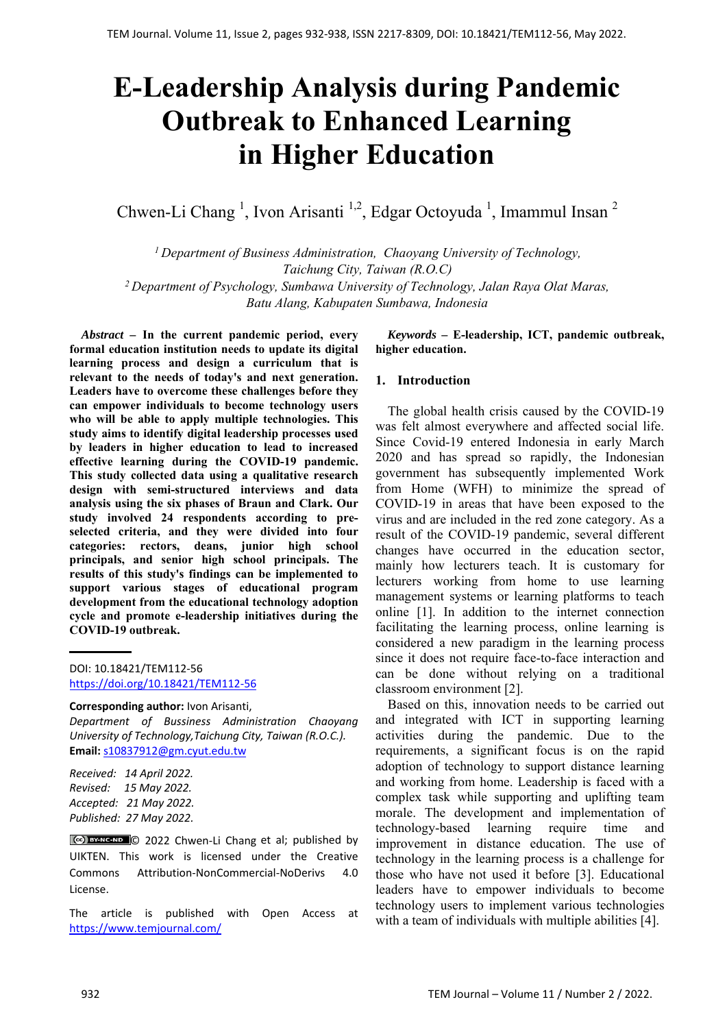# **E-Leadership Analysis during Pandemic Outbreak to Enhanced Learning in Higher Education**

Chwen-Li Chang<sup>1</sup>, Ivon Arisanti<sup>1,2</sup>, Edgar Octoyuda<sup>1</sup>, Imammul Insan<sup>2</sup>

*<sup>1</sup>Department of Business Administration, Chaoyang University of Technology, Taichung City, Taiwan (R.O.C) <sup>2</sup>Department of Psychology, Sumbawa University of Technology, Jalan Raya Olat Maras, Batu Alang, Kabupaten Sumbawa, Indonesia*

*Abstract –* **In the current pandemic period, every formal education institution needs to update its digital learning process and design a curriculum that is relevant to the needs of today's and next generation. Leaders have to overcome these challenges before they can empower individuals to become technology users who will be able to apply multiple technologies. This study aims to identify digital leadership processes used by leaders in higher education to lead to increased effective learning during the COVID-19 pandemic. This study collected data using a qualitative research design with semi-structured interviews and data analysis using the six phases of Braun and Clark. Our study involved 24 respondents according to preselected criteria, and they were divided into four categories: rectors, deans, junior high school principals, and senior high school principals. The results of this study's findings can be implemented to support various stages of educational program development from the educational technology adoption cycle and promote e-leadership initiatives during the COVID-19 outbreak.** 

#### **Corresponding author:** Ivon Arisanti,

*Department of Bussiness Administration Chaoyang University of Technology,Taichung City, Taiwan (R.O.C.).*  **Email:** s10837912@gm.cyut.edu.tw

*Received: 14 April 2022. Revised: 15 May 2022. Accepted: 21 May 2022. Published: 27 May 2022.* 

© 2022 Chwen‐Li Chang et al; published by UIKTEN. This work is licensed under the Creative Commons Attribution‐NonCommercial‐NoDerivs 4.0 License.

The article is published with Open Access at https://www.temjournal.com/

*Keywords –* **E-leadership, ICT, pandemic outbreak, higher education.** 

#### **1. Introduction**

The global health crisis caused by the COVID-19 was felt almost everywhere and affected social life. Since Covid-19 entered Indonesia in early March 2020 and has spread so rapidly, the Indonesian government has subsequently implemented Work from Home (WFH) to minimize the spread of COVID-19 in areas that have been exposed to the virus and are included in the red zone category. As a result of the COVID-19 pandemic, several different changes have occurred in the education sector, mainly how lecturers teach. It is customary for lecturers working from home to use learning management systems or learning platforms to teach online [1]. In addition to the internet connection facilitating the learning process, online learning is considered a new paradigm in the learning process since it does not require face-to-face interaction and can be done without relying on a traditional classroom environment [2].

Based on this, innovation needs to be carried out and integrated with ICT in supporting learning activities during the pandemic. Due to the requirements, a significant focus is on the rapid adoption of technology to support distance learning and working from home. Leadership is faced with a complex task while supporting and uplifting team morale. The development and implementation of technology-based learning require time and improvement in distance education. The use of technology in the learning process is a challenge for those who have not used it before [3]. Educational leaders have to empower individuals to become technology users to implement various technologies with a team of individuals with multiple abilities [4].

DOI: 10.18421/TEM112-56 [https://doi.org/10.18421/TEM112](https://doi.org/10.18421/TEM112-56)-56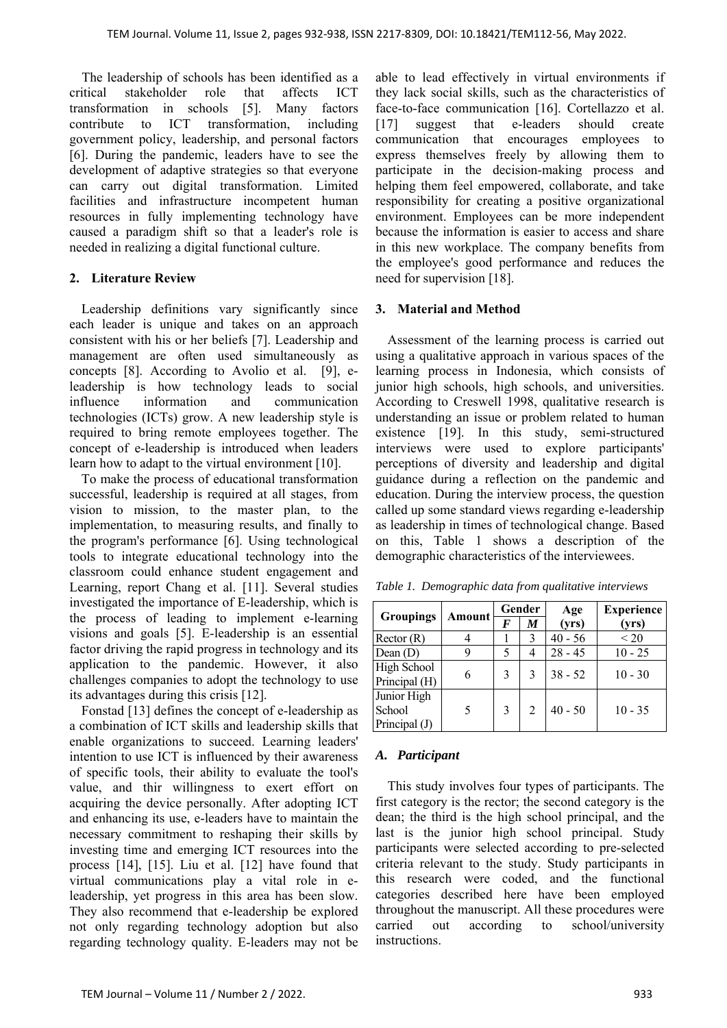The leadership of schools has been identified as a critical stakeholder role that affects ICT transformation in schools [5]. Many factors contribute to ICT transformation, including government policy, leadership, and personal factors [6]. During the pandemic, leaders have to see the development of adaptive strategies so that everyone can carry out digital transformation. Limited facilities and infrastructure incompetent human resources in fully implementing technology have caused a paradigm shift so that a leader's role is needed in realizing a digital functional culture.

#### **2. Literature Review**

Leadership definitions vary significantly since each leader is unique and takes on an approach consistent with his or her beliefs [7]. Leadership and management are often used simultaneously as concepts [8]. According to Avolio et al. [9], eleadership is how technology leads to social influence information and communication technologies (ICTs) grow. A new leadership style is required to bring remote employees together. The concept of e-leadership is introduced when leaders learn how to adapt to the virtual environment [10].

To make the process of educational transformation successful, leadership is required at all stages, from vision to mission, to the master plan, to the implementation, to measuring results, and finally to the program's performance [6]. Using technological tools to integrate educational technology into the classroom could enhance student engagement and Learning, report Chang et al. [11]. Several studies investigated the importance of E-leadership, which is the process of leading to implement e-learning visions and goals [5]. E-leadership is an essential factor driving the rapid progress in technology and its application to the pandemic. However, it also challenges companies to adopt the technology to use its advantages during this crisis [12].

Fonstad [13] defines the concept of e-leadership as a combination of ICT skills and leadership skills that enable organizations to succeed. Learning leaders' intention to use ICT is influenced by their awareness of specific tools, their ability to evaluate the tool's value, and thir willingness to exert effort on acquiring the device personally. After adopting ICT and enhancing its use, e-leaders have to maintain the necessary commitment to reshaping their skills by investing time and emerging ICT resources into the process [14], [15]. Liu et al. [12] have found that virtual communications play a vital role in eleadership, yet progress in this area has been slow. They also recommend that e-leadership be explored not only regarding technology adoption but also regarding technology quality. E-leaders may not be

able to lead effectively in virtual environments if they lack social skills, such as the characteristics of face-to-face communication [16]. Cortellazzo et al. [17] suggest that e-leaders should create communication that encourages employees to express themselves freely by allowing them to participate in the decision-making process and helping them feel empowered, collaborate, and take responsibility for creating a positive organizational environment. Employees can be more independent because the information is easier to access and share in this new workplace. The company benefits from the employee's good performance and reduces the need for supervision [18].

#### **3. Material and Method**

Assessment of the learning process is carried out using a qualitative approach in various spaces of the learning process in Indonesia, which consists of junior high schools, high schools, and universities. According to Creswell 1998, qualitative research is understanding an issue or problem related to human existence [19]. In this study, semi-structured interviews were used to explore participants' perceptions of diversity and leadership and digital guidance during a reflection on the pandemic and education. During the interview process, the question called up some standard views regarding e-leadership as leadership in times of technological change. Based on this, Table 1 shows a description of the demographic characteristics of the interviewees.

 $Groupings$  Amount  $\frac{Gender}{F \mid M}$  Age **(yrs) Experience**  $\frac{\textbf{(yrs)}}{6}$ Rector (R)  $\begin{array}{|c|c|c|c|c|c|} \hline 4 & 1 & 3 & 40 & -56 \ \hline \end{array}$ Dean (D) 9 5 4 28 - 45 10 - 25 High School Principal (H)  $\begin{array}{|c|c|c|c|c|c|c|c|} \hline \end{array}$  6 3 3 38 - 52 10 - 30 Junior High School Principal (J)  $5 \quad 3 \quad 2 \quad 40 - 50 \quad 10 - 35$ 

*Table 1. Demographic data from qualitative interviews* 

# *A. Participant*

This study involves four types of participants. The first category is the rector; the second category is the dean; the third is the high school principal, and the last is the junior high school principal. Study participants were selected according to pre-selected criteria relevant to the study. Study participants in this research were coded, and the functional categories described here have been employed throughout the manuscript. All these procedures were carried out according to school/university instructions.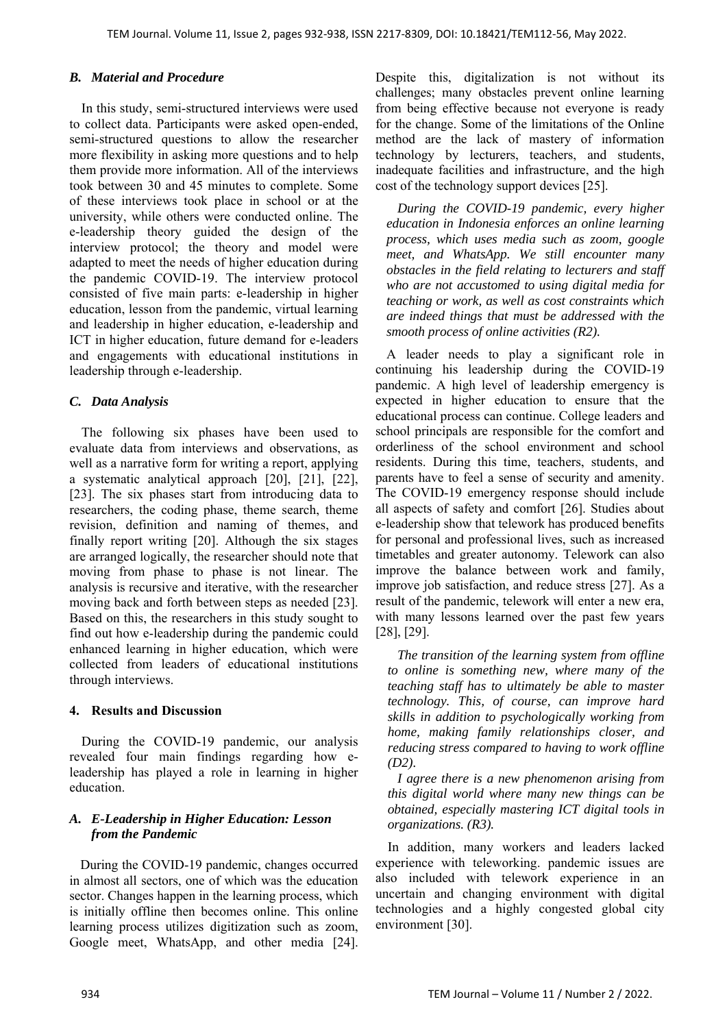#### *B. Material and Procedure*

In this study, semi-structured interviews were used to collect data. Participants were asked open-ended, semi-structured questions to allow the researcher more flexibility in asking more questions and to help them provide more information. All of the interviews took between 30 and 45 minutes to complete. Some of these interviews took place in school or at the university, while others were conducted online. The e-leadership theory guided the design of the interview protocol; the theory and model were adapted to meet the needs of higher education during the pandemic COVID-19. The interview protocol consisted of five main parts: e-leadership in higher education, lesson from the pandemic, virtual learning and leadership in higher education, e-leadership and ICT in higher education, future demand for e-leaders and engagements with educational institutions in leadership through e-leadership.

#### *C. Data Analysis*

The following six phases have been used to evaluate data from interviews and observations, as well as a narrative form for writing a report, applying a systematic analytical approach [20], [21], [22], [23]. The six phases start from introducing data to researchers, the coding phase, theme search, theme revision, definition and naming of themes, and finally report writing [20]. Although the six stages are arranged logically, the researcher should note that moving from phase to phase is not linear. The analysis is recursive and iterative, with the researcher moving back and forth between steps as needed [23]. Based on this, the researchers in this study sought to find out how e-leadership during the pandemic could enhanced learning in higher education, which were collected from leaders of educational institutions through interviews.

#### **4. Results and Discussion**

During the COVID-19 pandemic, our analysis revealed four main findings regarding how eleadership has played a role in learning in higher education.

## *A. E-Leadership in Higher Education: Lesson from the Pandemic*

During the COVID-19 pandemic, changes occurred in almost all sectors, one of which was the education sector. Changes happen in the learning process, which is initially offline then becomes online. This online learning process utilizes digitization such as zoom, Google meet, WhatsApp, and other media [24]. Despite this, digitalization is not without its challenges; many obstacles prevent online learning from being effective because not everyone is ready for the change. Some of the limitations of the Online method are the lack of mastery of information technology by lecturers, teachers, and students, inadequate facilities and infrastructure, and the high cost of the technology support devices [25].

*During the COVID-19 pandemic, every higher education in Indonesia enforces an online learning process, which uses media such as zoom, google meet, and WhatsApp. We still encounter many obstacles in the field relating to lecturers and staff who are not accustomed to using digital media for teaching or work, as well as cost constraints which are indeed things that must be addressed with the smooth process of online activities (R2).* 

A leader needs to play a significant role in continuing his leadership during the COVID-19 pandemic. A high level of leadership emergency is expected in higher education to ensure that the educational process can continue. College leaders and school principals are responsible for the comfort and orderliness of the school environment and school residents. During this time, teachers, students, and parents have to feel a sense of security and amenity. The COVID-19 emergency response should include all aspects of safety and comfort [26]. Studies about e-leadership show that telework has produced benefits for personal and professional lives, such as increased timetables and greater autonomy. Telework can also improve the balance between work and family, improve job satisfaction, and reduce stress [27]. As a result of the pandemic, telework will enter a new era, with many lessons learned over the past few years [28], [29].

*The transition of the learning system from offline to online is something new, where many of the teaching staff has to ultimately be able to master technology. This, of course, can improve hard skills in addition to psychologically working from home, making family relationships closer, and reducing stress compared to having to work offline (D2).* 

*I agree there is a new phenomenon arising from this digital world where many new things can be obtained, especially mastering ICT digital tools in organizations. (R3).* 

In addition, many workers and leaders lacked experience with teleworking. pandemic issues are also included with telework experience in an uncertain and changing environment with digital technologies and a highly congested global city environment [30].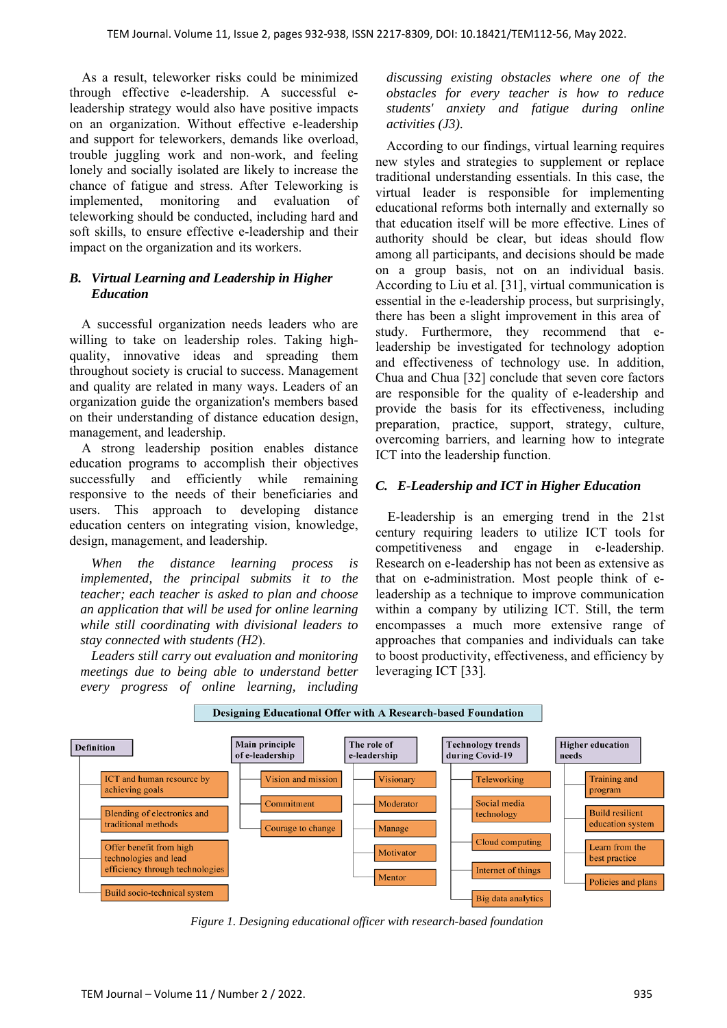As a result, teleworker risks could be minimized through effective e-leadership. A successful eleadership strategy would also have positive impacts on an organization. Without effective e-leadership and support for teleworkers, demands like overload, trouble juggling work and non-work, and feeling lonely and socially isolated are likely to increase the chance of fatigue and stress. After Teleworking is implemented, monitoring and evaluation of teleworking should be conducted, including hard and soft skills, to ensure effective e-leadership and their impact on the organization and its workers.

#### *B. Virtual Learning and Leadership in Higher Education*

A successful organization needs leaders who are willing to take on leadership roles. Taking highquality, innovative ideas and spreading them throughout society is crucial to success. Management and quality are related in many ways. Leaders of an organization guide the organization's members based on their understanding of distance education design, management, and leadership.

A strong leadership position enables distance education programs to accomplish their objectives successfully and efficiently while remaining responsive to the needs of their beneficiaries and users. This approach to developing distance education centers on integrating vision, knowledge, design, management, and leadership.

*When the distance learning process is implemented, the principal submits it to the teacher; each teacher is asked to plan and choose an application that will be used for online learning while still coordinating with divisional leaders to stay connected with students (H2*).

*Leaders still carry out evaluation and monitoring meetings due to being able to understand better every progress of online learning, including* 

*discussing existing obstacles where one of the obstacles for every teacher is how to reduce students' anxiety and fatigue during online activities (J3).* 

According to our findings, virtual learning requires new styles and strategies to supplement or replace traditional understanding essentials. In this case, the virtual leader is responsible for implementing educational reforms both internally and externally so that education itself will be more effective. Lines of authority should be clear, but ideas should flow among all participants, and decisions should be made on a group basis, not on an individual basis. According to Liu et al. [31], virtual communication is essential in the e-leadership process, but surprisingly, there has been a slight improvement in this area of study. Furthermore, they recommend that eleadership be investigated for technology adoption and effectiveness of technology use. In addition, Chua and Chua [32] conclude that seven core factors are responsible for the quality of e-leadership and provide the basis for its effectiveness, including preparation, practice, support, strategy, culture, overcoming barriers, and learning how to integrate ICT into the leadership function.

## *C. E-Leadership and ICT in Higher Education*

E-leadership is an emerging trend in the 21st century requiring leaders to utilize ICT tools for competitiveness and engage in e-leadership. Research on e-leadership has not been as extensive as that on e-administration. Most people think of eleadership as a technique to improve communication within a company by utilizing ICT. Still, the term encompasses a much more extensive range of approaches that companies and individuals can take to boost productivity, effectiveness, and efficiency by leveraging ICT [33].



*Figure 1. Designing educational officer with research-based foundation*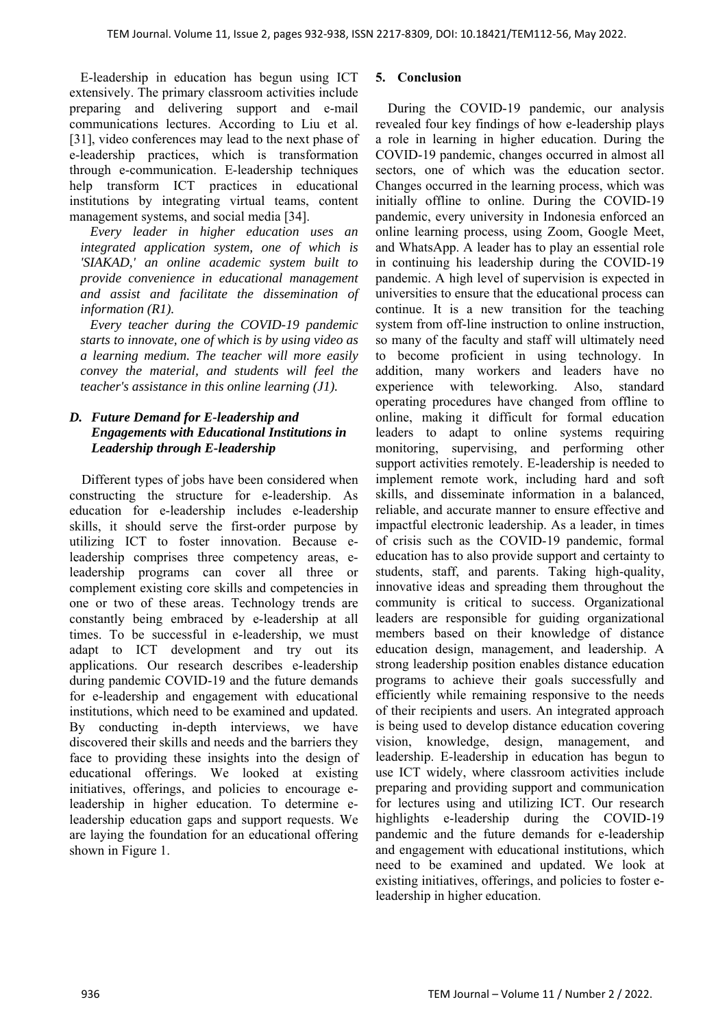E-leadership in education has begun using ICT extensively. The primary classroom activities include preparing and delivering support and e-mail communications lectures. According to Liu et al. [31], video conferences may lead to the next phase of e-leadership practices, which is transformation through e-communication. E-leadership techniques help transform ICT practices in educational institutions by integrating virtual teams, content management systems, and social media [34].

*Every leader in higher education uses an integrated application system, one of which is 'SIAKAD,' an online academic system built to provide convenience in educational management and assist and facilitate the dissemination of information (R1).* 

*Every teacher during the COVID-19 pandemic starts to innovate, one of which is by using video as a learning medium. The teacher will more easily convey the material, and students will feel the teacher's assistance in this online learning (J1).* 

# *D. Future Demand for E-leadership and Engagements with Educational Institutions in Leadership through E-leadership*

Different types of jobs have been considered when constructing the structure for e-leadership. As education for e-leadership includes e-leadership skills, it should serve the first-order purpose by utilizing ICT to foster innovation. Because eleadership comprises three competency areas, eleadership programs can cover all three or complement existing core skills and competencies in one or two of these areas. Technology trends are constantly being embraced by e-leadership at all times. To be successful in e-leadership, we must adapt to ICT development and try out its applications. Our research describes e-leadership during pandemic COVID-19 and the future demands for e-leadership and engagement with educational institutions, which need to be examined and updated. By conducting in-depth interviews, we have discovered their skills and needs and the barriers they face to providing these insights into the design of educational offerings. We looked at existing initiatives, offerings, and policies to encourage eleadership in higher education. To determine eleadership education gaps and support requests. We are laying the foundation for an educational offering shown in Figure 1.

## **5. Conclusion**

During the COVID-19 pandemic, our analysis revealed four key findings of how e-leadership plays a role in learning in higher education. During the COVID-19 pandemic, changes occurred in almost all sectors, one of which was the education sector. Changes occurred in the learning process, which was initially offline to online. During the COVID-19 pandemic, every university in Indonesia enforced an online learning process, using Zoom, Google Meet, and WhatsApp. A leader has to play an essential role in continuing his leadership during the COVID-19 pandemic. A high level of supervision is expected in universities to ensure that the educational process can continue. It is a new transition for the teaching system from off-line instruction to online instruction, so many of the faculty and staff will ultimately need to become proficient in using technology. In addition, many workers and leaders have no experience with teleworking. Also, standard operating procedures have changed from offline to online, making it difficult for formal education leaders to adapt to online systems requiring monitoring, supervising, and performing other support activities remotely. E-leadership is needed to implement remote work, including hard and soft skills, and disseminate information in a balanced, reliable, and accurate manner to ensure effective and impactful electronic leadership. As a leader, in times of crisis such as the COVID-19 pandemic, formal education has to also provide support and certainty to students, staff, and parents. Taking high-quality, innovative ideas and spreading them throughout the community is critical to success. Organizational leaders are responsible for guiding organizational members based on their knowledge of distance education design, management, and leadership. A strong leadership position enables distance education programs to achieve their goals successfully and efficiently while remaining responsive to the needs of their recipients and users. An integrated approach is being used to develop distance education covering vision, knowledge, design, management, and leadership. E-leadership in education has begun to use ICT widely, where classroom activities include preparing and providing support and communication for lectures using and utilizing ICT. Our research highlights e-leadership during the COVID-19 pandemic and the future demands for e-leadership and engagement with educational institutions, which need to be examined and updated. We look at existing initiatives, offerings, and policies to foster eleadership in higher education.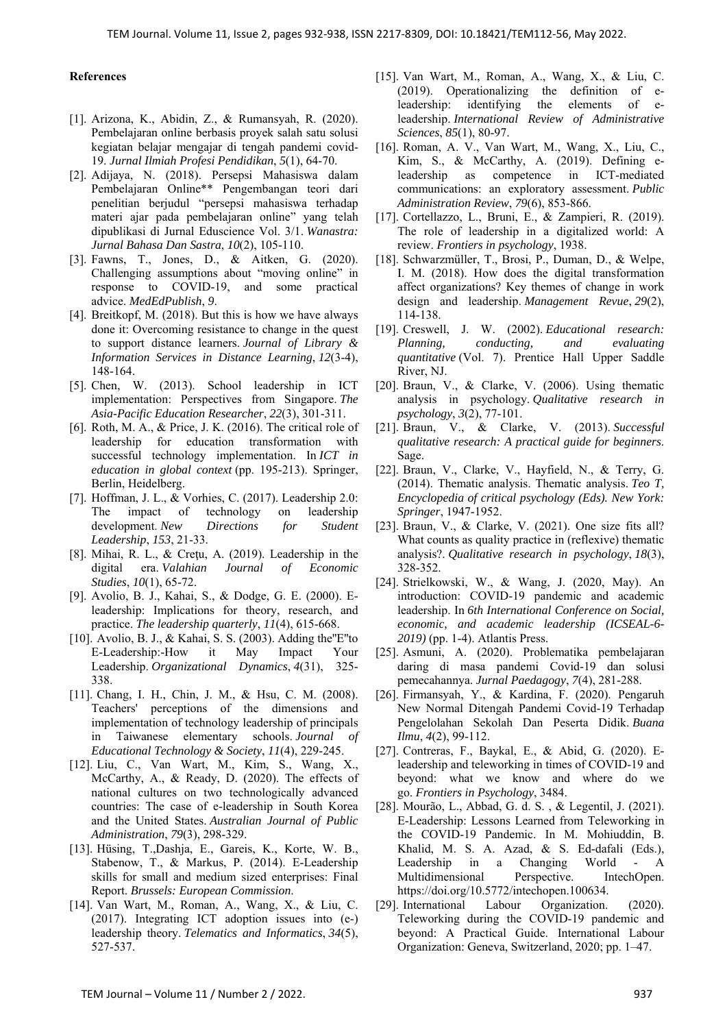#### **References**

- [1]. Arizona, K., Abidin, Z., & Rumansyah, R. (2020). Pembelajaran online berbasis proyek salah satu solusi kegiatan belajar mengajar di tengah pandemi covid-19. *Jurnal Ilmiah Profesi Pendidikan*, *5*(1), 64-70.
- [2]. Adijaya, N. (2018). Persepsi Mahasiswa dalam Pembelajaran Online\*\* Pengembangan teori dari penelitian berjudul "persepsi mahasiswa terhadap materi ajar pada pembelajaran online" yang telah dipublikasi di Jurnal Eduscience Vol. 3/1. *Wanastra: Jurnal Bahasa Dan Sastra*, *10*(2), 105-110.
- [3]. Fawns, T., Jones, D., & Aitken, G. (2020). Challenging assumptions about "moving online" in response to COVID-19, and some practical advice. *MedEdPublish*, *9*.
- [4]. Breitkopf, M. (2018). But this is how we have always done it: Overcoming resistance to change in the quest to support distance learners. *Journal of Library & Information Services in Distance Learning*, *12*(3-4), 148-164.
- [5]. Chen, W. (2013). School leadership in ICT implementation: Perspectives from Singapore. *The Asia-Pacific Education Researcher*, *22*(3), 301-311.
- [6]. Roth, M. A.,  $\&$  Price, J. K. (2016). The critical role of leadership for education transformation with successful technology implementation. In *ICT in education in global context* (pp. 195-213). Springer, Berlin, Heidelberg.
- [7]. Hoffman, J. L., & Vorhies, C. (2017). Leadership 2.0: The impact of technology on leadership development. *New Directions for Student Leadership*, *153*, 21-33.
- [8]. Mihai, R. L., & Creţu, A. (2019). Leadership in the digital era. *Valahian Journal of Economic Studies*, *10*(1), 65-72.
- [9]. Avolio, B. J., Kahai, S., & Dodge, G. E. (2000). Eleadership: Implications for theory, research, and practice. *The leadership quarterly*, *11*(4), 615-668.
- [10]. Avolio, B. J., & Kahai, S. S. (2003). Adding the''E''to E-Leadership:-How it May Impact Your Leadership. *Organizational Dynamics*, *4*(31), 325- 338.
- [11]. Chang, I. H., Chin, J. M., & Hsu, C. M. (2008). Teachers' perceptions of the dimensions and implementation of technology leadership of principals in Taiwanese elementary schools. *Journal of Educational Technology & Society*, *11*(4), 229-245.
- [12]. Liu, C., Van Wart, M., Kim, S., Wang, X., McCarthy, A., & Ready, D. (2020). The effects of national cultures on two technologically advanced countries: The case of e‐leadership in South Korea and the United States. *Australian Journal of Public Administration*, *79*(3), 298-329.
- [13]. Hüsing, T.,Dashja, E., Gareis, K., Korte, W. B., Stabenow, T., & Markus, P. (2014). E-Leadership skills for small and medium sized enterprises: Final Report. *Brussels: European Commission*.
- [14]. Van Wart, M., Roman, A., Wang, X., & Liu, C. (2017). Integrating ICT adoption issues into (e-) leadership theory. *Telematics and Informatics*, *34*(5), 527-537.
- [15]. Van Wart, M., Roman, A., Wang, X., & Liu, C. (2019). Operationalizing the definition of eleadership: identifying the elements of eleadership. *International Review of Administrative Sciences*, *85*(1), 80-97.
- [16]. Roman, A. V., Van Wart, M., Wang, X., Liu, C., Kim, S., & McCarthy, A. (2019). Defining eleadership as competence in ICT‐mediated communications: an exploratory assessment. *Public Administration Review*, *79*(6), 853-866.
- [17]. Cortellazzo, L., Bruni, E., & Zampieri, R. (2019). The role of leadership in a digitalized world: A review. *Frontiers in psychology*, 1938.
- [18]. Schwarzmüller, T., Brosi, P., Duman, D., & Welpe, I. M. (2018). How does the digital transformation affect organizations? Key themes of change in work design and leadership. *Management Revue*, *29*(2), 114-138.
- [19]. Creswell, J. W. (2002). *Educational research: Planning, conducting, and evaluating quantitative* (Vol. 7). Prentice Hall Upper Saddle River, NJ.
- [20]. Braun, V., & Clarke, V. (2006). Using thematic analysis in psychology. *Qualitative research in psychology*, *3*(2), 77-101.
- [21]. Braun, V., & Clarke, V. (2013). *Successful qualitative research: A practical guide for beginners*. Sage.
- [22]. Braun, V., Clarke, V., Hayfield, N., & Terry, G. (2014). Thematic analysis. Thematic analysis. *Teo T, Encyclopedia of critical psychology (Eds). New York: Springer*, 1947-1952.
- [23]. Braun, V., & Clarke, V. (2021). One size fits all? What counts as quality practice in (reflexive) thematic analysis?. *Qualitative research in psychology*, *18*(3), 328-352.
- [24]. Strielkowski, W., & Wang, J. (2020, May). An introduction: COVID-19 pandemic and academic leadership. In *6th International Conference on Social, economic, and academic leadership (ICSEAL-6- 2019)* (pp. 1-4). Atlantis Press.
- [25]. Asmuni, A. (2020). Problematika pembelajaran daring di masa pandemi Covid-19 dan solusi pemecahannya. *Jurnal Paedagogy*, *7*(4), 281-288.
- [26]. Firmansyah, Y., & Kardina, F. (2020). Pengaruh New Normal Ditengah Pandemi Covid-19 Terhadap Pengelolahan Sekolah Dan Peserta Didik. *Buana Ilmu*, *4*(2), 99-112.
- [27]. Contreras, F., Baykal, E., & Abid, G. (2020). Eleadership and teleworking in times of COVID-19 and beyond: what we know and where do we go. *Frontiers in Psychology*, 3484.
- [28]. Mourão, L., Abbad, G. d. S. , & Legentil, J. (2021). E-Leadership: Lessons Learned from Teleworking in the COVID-19 Pandemic. In M. Mohiuddin, B. Khalid, M. S. A. Azad, & S. Ed-dafali (Eds.), Leadership in a Changing World - A Multidimensional Perspective. IntechOpen. https://doi.org/10.5772/intechopen.100634.
- [29]. International Labour Organization. (2020). Teleworking during the COVID-19 pandemic and beyond: A Practical Guide. International Labour Organization: Geneva, Switzerland, 2020; pp. 1–47.